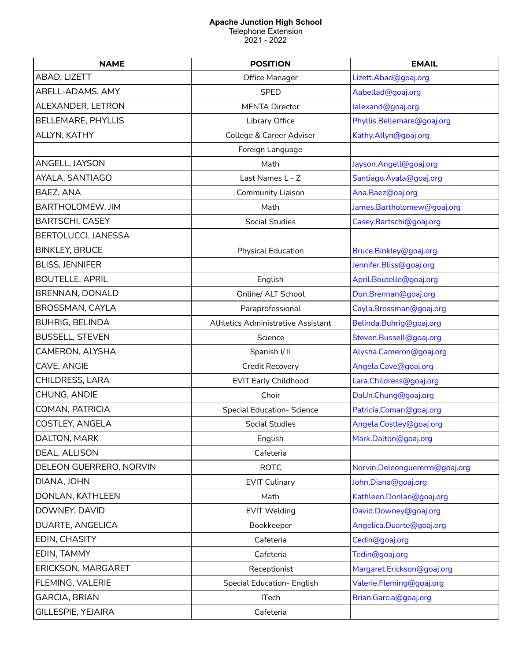## **Apache Junction High School**

Telephone Extension 2021 - 2022

| <b>NAME</b>               | <b>POSITION</b>                           | <b>EMAIL</b>                   |  |
|---------------------------|-------------------------------------------|--------------------------------|--|
| ABAD, LIZETT              | Office Manager                            | Lizett.Abad@goaj.org           |  |
| ABELL-ADAMS, AMY          | <b>SPED</b>                               | Aabellad@goaj.org              |  |
| ALEXANDER, LETRON         | <b>MENTA Director</b>                     | lalexand@goaj.org              |  |
| <b>BELLEMARE, PHYLLIS</b> | Library Office                            | Phyllis.Bellemare@goaj.org     |  |
| ALLYN, KATHY              | College & Career Adviser                  | Kathy.Allyn@goaj.org           |  |
|                           | Foreign Language                          |                                |  |
| ANGELL, JAYSON            | Math                                      | Jayson.Angell@goaj.org         |  |
| AYALA, SANTIAGO           | Last Names L - Z                          | Santiago. Ayala@goaj.org       |  |
| BAEZ, ANA                 | <b>Community Liaison</b>                  | Ana.Baez@oaj.org               |  |
| BARTHOLOMEW, JIM          | Math                                      | James.Bartholomew@goaj.org     |  |
| <b>BARTSCHI, CASEY</b>    | <b>Social Studies</b>                     | Casey.Bartschi@goaj.org        |  |
| BERTOLUCCI, JANESSA       |                                           |                                |  |
| <b>BINKLEY, BRUCE</b>     | <b>Physical Education</b>                 | Bruce.Binkley@goaj.org         |  |
| <b>BLISS, JENNIFER</b>    |                                           | Jennifer.Bliss@goaj.org        |  |
| <b>BOUTELLE, APRIL</b>    | English                                   | April.Boutelle@goaj.org        |  |
| BRENNAN, DONALD           | Online/ ALT School                        | Don.Brennan@goaj.org           |  |
| BROSSMAN, CAYLA           | Paraprofessional                          | Cayla.Brossman@goaj.org        |  |
| <b>BUHRIG, BELINDA</b>    | <b>Athletics Administrative Assistant</b> | Belinda.Buhrig@goaj.org        |  |
| <b>BUSSELL, STEVEN</b>    | Science                                   | Steven.Bussell@goaj.org        |  |
| CAMERON, ALYSHA           | Spanish I/ II                             | Alysha.Cameron@goaj.org        |  |
| CAVE, ANGIE               | Credit Recovery                           | Angela.Cave@goaj.org           |  |
| CHILDRESS, LARA           | <b>EVIT Early Childhood</b>               | Lara.Childress@goaj.org        |  |
| CHUNG, ANDIE              | Choir                                     | DaUn.Chung@goaj.org            |  |
| COMAN, PATRICIA           | <b>Special Education- Science</b>         | Patricia.Coman@goaj.org        |  |
| COSTLEY, ANGELA           | <b>Social Studies</b>                     | Angela.Costley@goaj.org        |  |
| DALTON, MARK              | English                                   | Mark.Dalton@goaj.org           |  |
| DEAL, ALLISON             | Cafeteria                                 |                                |  |
| DELEON GUERRERO, NORVIN   | <b>ROTC</b>                               | Norvin.Deleonguererro@goaj.org |  |
| DIANA, JOHN               | <b>EVIT Culinary</b>                      | John.Diana@goaj.org            |  |
| DONLAN, KATHLEEN          | Math                                      | Kathleen.Donlan@goaj.org       |  |
| DOWNEY, DAVID             | <b>EVIT Welding</b>                       | David.Downey@goaj.org          |  |
| DUARTE, ANGELICA          | Bookkeeper                                | Angelica.Duarte@goaj.org       |  |
| EDIN, CHASITY             | Cafeteria                                 | Cedin@goaj.org                 |  |
| EDIN, TAMMY               | Cafeteria                                 | Tedin@goaj.org                 |  |
| ERICKSON, MARGARET        | Receptionist                              | Margaret.Erickson@goaj.org     |  |
| FLEMING, VALERIE          | <b>Special Education- English</b>         | Valerie.Fleming@goaj.org       |  |
| <b>GARCIA, BRIAN</b>      | <b>ITech</b>                              | Brian.Garcia@goaj.org          |  |
| <b>GILLESPIE, YEJAIRA</b> | Cafeteria                                 |                                |  |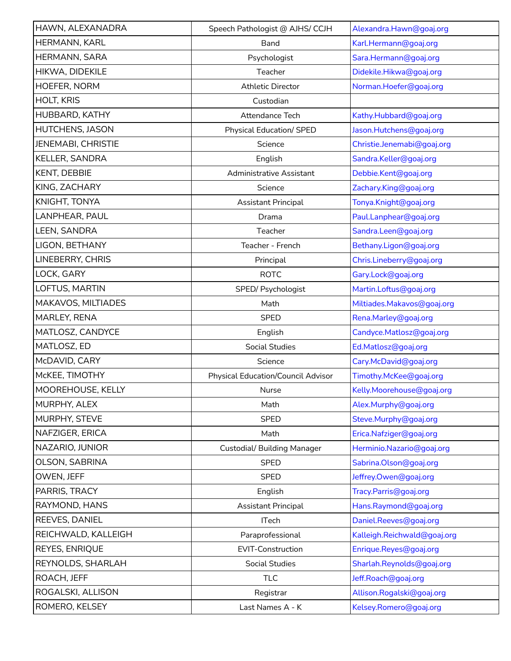| HAWN, ALEXANADRA          | Speech Pathologist @ AJHS/ CCJH           | Alexandra.Hawn@goaj.org     |  |
|---------------------------|-------------------------------------------|-----------------------------|--|
| HERMANN, KARL             | <b>Band</b>                               | Karl.Hermann@goaj.org       |  |
| HERMANN, SARA             | Psychologist                              | Sara.Hermann@goaj.org       |  |
| HIKWA, DIDEKILE           | Teacher                                   | Didekile.Hikwa@goaj.org     |  |
| HOEFER, NORM              | <b>Athletic Director</b>                  | Norman.Hoefer@goaj.org      |  |
| <b>HOLT, KRIS</b>         | Custodian                                 |                             |  |
| HUBBARD, KATHY            | Attendance Tech                           | Kathy.Hubbard@goaj.org      |  |
| <b>HUTCHENS, JASON</b>    | <b>Physical Education/ SPED</b>           | Jason.Hutchens@goaj.org     |  |
| <b>JENEMABI, CHRISTIE</b> | Science                                   | Christie.Jenemabi@goaj.org  |  |
| KELLER, SANDRA            | English                                   | Sandra.Keller@goaj.org      |  |
| KENT, DEBBIE              | <b>Administrative Assistant</b>           | Debbie.Kent@goaj.org        |  |
| KING, ZACHARY             | Science                                   | Zachary.King@goaj.org       |  |
| KNIGHT, TONYA             | <b>Assistant Principal</b>                | Tonya. Knight@goaj.org      |  |
| LANPHEAR, PAUL            | Drama                                     | Paul.Lanphear@goaj.org      |  |
| LEEN, SANDRA              | Teacher                                   | Sandra.Leen@goaj.org        |  |
| LIGON, BETHANY            | Teacher - French                          | Bethany.Ligon@goaj.org      |  |
| LINEBERRY, CHRIS          | Principal                                 | Chris.Lineberry@goaj.org    |  |
| LOCK, GARY                | <b>ROTC</b>                               | Gary.Lock@goaj.org          |  |
| LOFTUS, MARTIN            | SPED/ Psychologist                        | Martin.Loftus@goaj.org      |  |
| MAKAVOS, MILTIADES        | Math                                      | Miltiades.Makavos@goaj.org  |  |
| MARLEY, RENA              | <b>SPED</b>                               | Rena.Marley@goaj.org        |  |
| MATLOSZ, CANDYCE          | English                                   | Candyce.Matlosz@goaj.org    |  |
| MATLOSZ, ED               | <b>Social Studies</b>                     | Ed.Matlosz@goaj.org         |  |
| McDAVID, CARY             | Science                                   | Cary.McDavid@goaj.org       |  |
| McKEE, TIMOTHY            | <b>Physical Education/Council Advisor</b> | Timothy.McKee@goaj.org      |  |
| MOOREHOUSE, KELLY         | Nurse                                     | Kelly.Moorehouse@goaj.org   |  |
| MURPHY, ALEX              | Math                                      | Alex.Murphy@goaj.org        |  |
| MURPHY, STEVE             | <b>SPED</b>                               | Steve.Murphy@goaj.org       |  |
| NAFZIGER, ERICA           | Math                                      | Erica.Nafziger@goaj.org     |  |
| NAZARIO, JUNIOR           | <b>Custodial/Building Manager</b>         | Herminio.Nazario@goaj.org   |  |
| OLSON, SABRINA            | <b>SPED</b>                               | Sabrina.Olson@goaj.org      |  |
| OWEN, JEFF                | <b>SPED</b>                               | Jeffrey.Owen@goaj.org       |  |
| PARRIS, TRACY             | English                                   | Tracy.Parris@goaj.org       |  |
| RAYMOND, HANS             | <b>Assistant Principal</b>                | Hans.Raymond@goaj.org       |  |
| REEVES, DANIEL            | <b>ITech</b>                              | Daniel.Reeves@goaj.org      |  |
| REICHWALD, KALLEIGH       | Paraprofessional                          | Kalleigh.Reichwald@goaj.org |  |
| REYES, ENRIQUE            | EVIT-Construction                         | Enrique.Reyes@goaj.org      |  |
| REYNOLDS, SHARLAH         | <b>Social Studies</b>                     | Sharlah.Reynolds@goaj.org   |  |
| ROACH, JEFF               | <b>TLC</b>                                | Jeff.Roach@goaj.org         |  |
| ROGALSKI, ALLISON         | Registrar                                 | Allison.Rogalski@goaj.org   |  |
| ROMERO, KELSEY            | Last Names A - K                          | Kelsey.Romero@goaj.org      |  |